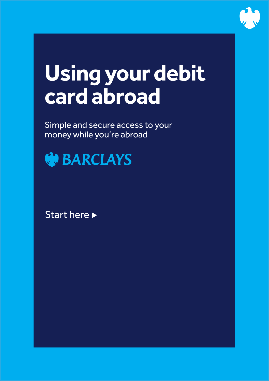

# **Using your debit card abroad**

Simple and secure access to your money while you're abroad



Start here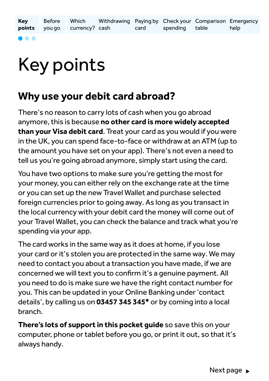**Key points** Before you go Withdrawing currency? cash Paying by Check your Comparison Emergency card Which spending table help

#### . . .

## Key points

### **Why use your debit card abroad?**

There's no reason to carry lots of cash when you go abroad anymore, this is because **no other card is more widely accepted than your Visa debit card**. Treat your card as you would if you were in the UK, you can spend face-to-face or withdraw at an ATM (up to the amount you have set on your app). There's not even a need to tell us you're going abroad anymore, simply start using the card.

You have two options to make sure you're getting the most for your money, you can either rely on the exchange rate at the time or you can set up the new Travel Wallet and purchase selected foreign currencies prior to going away. As long as you transact in the local currency with your debit card the money will come out of your Travel Wallet, you can check the balance and track what you're spending via your app.

The card works in the same way as it does at home, if you lose your card or it's stolen you are protected in the same way. We may need to contact you about a transaction you have made, if we are concerned we will text you to confirm it's a genuine payment. All you need to do is make sure we have the right contact number for you. This can be updated in your Online Banking under 'contact details', by calling us on **03457 345 345\*** or by coming into a local branch.

**There's lots of support in this pocket guide** so save this on your computer, phone or tablet before you go, or print it out, so that it's always handy.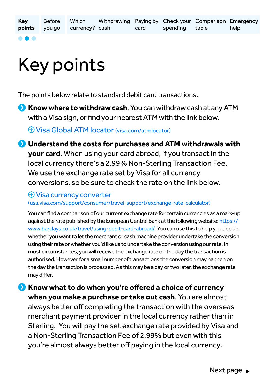...

# Key points

The points below relate to standard debit card transactions.

**Know where to withdraw cash**. You can withdraw cash at any ATM with a Visa sign, or find your nearest ATM with the link below.

[Visa Global ATM locator \(visa.com/atmlocator\)](http://visa.com/atmlocator)

**Understand the costs for purchases and ATM withdrawals with your card**. When using your card abroad, if you transact in the local currency there's a 2.99% Non-Sterling Transaction Fee. We use the exchange rate set by Visa for all currency conversions, so be sure to check the rate on the link below.

[Visa currency converter](https://usa.visa.com/support/consumer/travel-support/exchange-rate-calculator.html)

[\(usa.visa.com/support/consumer/travel-support/exchange-rate-calculator](https://usa.visa.com/support/consumer/travel-support/exchange-rate-calculator.html))

You can find a comparison of our current exchange rate for certain currencies as a mark-up against the rate published by the European Central Bank at the following website: [https://](https://www.barclays.co.uk/travel/using-debit-card-abroad/) [www.barclays.co.uk/travel/using-debit-card-abroad/.](https://www.barclays.co.uk/travel/using-debit-card-abroad/) You can use this to help you decide whether you want to let the merchant or cash machine provider undertake the conversion using their rate or whether you'd like us to undertake the conversion using our rate. In most circumstances, you will receive the exchange rate on the day the transaction is authorised. However for a small number of transactions the conversion may happen on the day the transaction is processed. As this may be a day or two later, the exchange rate may differ.

**Know what to do when you're offered a choice of currency when you make a purchase or take out cash**. You are almost always better off completing the transaction with the overseas merchant payment provider in the local currency rather than in Sterling. You will pay the set exchange rate provided by Visa and a Non-Sterling Transaction Fee of 2.99% but even with this you're almost always better off paying in the local currency.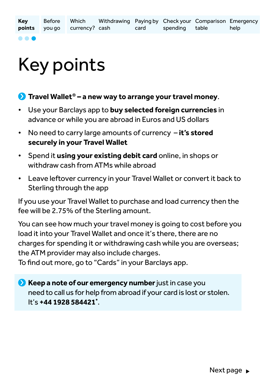**. . .** 

# Key points

#### **Travel Wallet<sup>®</sup> – a new way to arrange your travel money.**

- Use your Barclays app to **buy selected foreign currencies** in advance or while you are abroad in Euros and US dollars
- No need to carry large amounts of currency – **it's stored securely in your Travel Wallet**
- Spend it **using your existing debit card** online, in shops or withdraw cash from ATMs while abroad
- Leave leftover currency in your Travel Wallet or convert it back to Sterling through the app

If you use your Travel Wallet to purchase and load currency then the fee will be 2.75% of the Sterling amount.

You can see how much your travel money is going to cost before you load it into your Travel Wallet and once it's there, there are no charges for spending it or withdrawing cash while you are overseas; the ATM provider may also include charges.

To find out more, go to "Cards" in your Barclays app.

**Keep a note of our emergency number** just in case you need to call us for help from abroad if your card is lost or stolen. It's **+44 1928 584421\*** .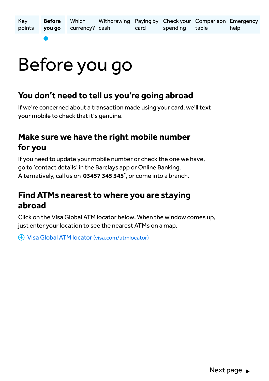## Before you go

#### **You don't need to tell us you're going abroad**

If we're concerned about a transaction made using your card, we'll text your mobile to check that it's genuine.

### **Make sure we have the right mobile number for you**

If you need to update your mobile number or check the one we have, go to 'contact details' in the Barclays app or Online Banking. Alternatively, call us on **03457 345 345\*** , or come into a branch.

### **Find ATMs nearest to where you are staying abroad**

Click on the Visa Global ATM locator below. When the window comes up, just enter your location to see the nearest ATMs on a map.

[Visa Global ATM locator \(visa.com/atmlocator\)](http://visa.com/atmlocator)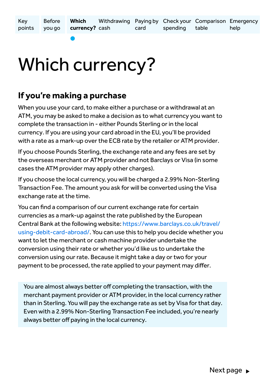Key points Before you go Withdrawing Paying by Check your Comparison Emergency currency? cash card **Which**  spending table help

### Which currency?

#### **If you're making a purchase**

When you use your card, to make either a purchase or a withdrawal at an ATM, you may be asked to make a decision as to what currency you want to complete the transaction in - either Pounds Sterling or in the local currency. If you are using your card abroad in the EU, you'll be provided with a rate as a mark-up over the ECB rate by the retailer or ATM provider.

If you choose Pounds Sterling, the exchange rate and any fees are set by the overseas merchant or ATM provider and not Barclays or Visa (in some cases the ATM provider may apply other charges).

If you choose the local currency, you will be charged a 2.99% Non-Sterling Transaction Fee. The amount you ask for will be converted using the Visa exchange rate at the time.

You can find a comparison of our current exchange rate for certain currencies as a mark-up against the rate published by the European Central Bank at the following website: [https://www.barclays.co.uk/travel/](https://www.barclays.co.uk/travel/using-debit-card-abroad/) [using-debit-card-abroad/.](https://www.barclays.co.uk/travel/using-debit-card-abroad/) You can use this to help you decide whether you want to let the merchant or cash machine provider undertake the conversion using their rate or whether you'd like us to undertake the conversion using our rate. Because it might take a day or two for your payment to be processed, the rate applied to your payment may differ.

You are almost always better off completing the transaction, with the merchant payment provider or ATM provider, in the local currency rather than in Sterling. You will pay the exchange rate as set by Visa for that day. Even with a 2.99% Non-Sterling Transaction Fee included, you're nearly always better off paying in the local currency.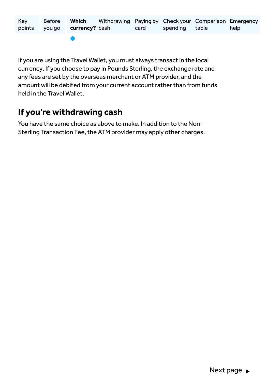| Key |                              | Before Which Withdrawing Paying by Check your Comparison Emergency |                     |      |
|-----|------------------------------|--------------------------------------------------------------------|---------------------|------|
|     | points you go currency? cash |                                                                    | card spending table | help |
|     |                              |                                                                    |                     |      |

If you are using the Travel Wallet, you must always transact in the local currency. If you choose to pay in Pounds Sterling, the exchange rate and any fees are set by the overseas merchant or ATM provider, and the amount will be debited from your current account rather than from funds held in the Travel Wallet.

### **If you're withdrawing cash**

You have the same choice as above to make. In addition to the Non-Sterling Transaction Fee, the ATM provider may apply other charges.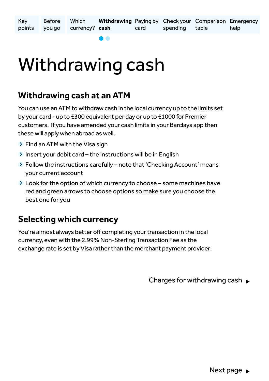Key points Before you go Withdrawing Paying by Check your Comparison Emergency currency? **cash** card Which spending table help

## Withdrawing cash

#### **Withdrawing cash at an ATM**

You can use an ATM to withdraw cash in the local currency up to the limits set by your card - up to £300 equivalent per day or up to £1000 for Premier customers. If you have amended your cash limits in your Barclays app then these will apply when abroad as well.

- $\triangleright$  Find an ATM with the Visa sign
- $\sum$  Insert your debit card the instructions will be in English
- $\triangleright$  Follow the instructions carefully note that 'Checking Account' means your current account
- $\geq$  Look for the option of which currency to choose some machines have red and green arrows to choose options so make sure you choose the best one for you

### **Selecting which currency**

You're almost always better off completing your transaction in the local currency, even with the 2.99% Non-Sterling Transaction Fee as the exchange rate is set by Visa rather than the merchant payment provider.

Charges for withdrawing cash  $\blacktriangleright$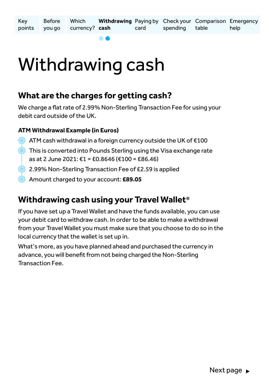Key points Before you go Withdrawing Paying by Check your Comparison Emergency currency? **cash** card Which spending table help

### Withdrawing cash

#### **What are the charges for getting cash?**

We charge a flat rate of 2.99% Non-Sterling Transaction Fee for using your debit card outside of the UK.

#### **ATM Withdrawal Example (in Euros)**

- ATM cash withdrawal in a foreign currency outside the UK of €100
- **O** This is converted into Pounds Sterling using the Visa exchange rate as at 2 June 2021: €1 = £0.8646 (€100 = £86.46)
- **2.99% Non-Sterling Transaction Fee of £2.59 is applied** 
	- Amount charged to your account: **£89.05**

#### **Withdrawing cash using your Travel Wallet®**

If you have set up a Travel Wallet and have the funds available, you can use your debit card to withdraw cash. In order to be able to make a withdrawal from your Travel Wallet you must make sure that you choose to do so in the local currency that the wallet is set up in.

What's more, as you have planned ahead and purchased the currency in advance, you will benefit from not being charged the Non-Sterling Transaction Fee.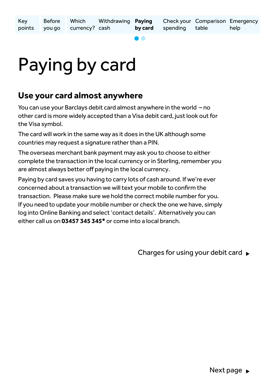# Paying by card

### **Use your card almost anywhere**

You can use your Barclays debit card almost anywhere in the world – no other card is more widely accepted than a Visa debit card, just look out for the Visa symbol.

The card will work in the same way as it does in the UK although some countries may request a signature rather than a PIN.

The overseas merchant bank payment may ask you to choose to either complete the transaction in the local currency or in Sterling, remember you are almost always better off paying in the local currency.

Paying by card saves you having to carry lots of cash around. If we're ever concerned about a transaction we will text your mobile to confirm the transaction. Please make sure we hold the correct mobile number for you. If you need to update your mobile number or check the one we have, simply log into Online Banking and select 'contact details'. Alternatively you can either call us on **03457 345 345\*** or come into a local branch.

Charges for using your debit card  $\blacktriangleright$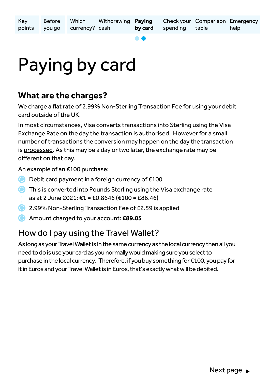## Paying by card

### **What are the charges?**

We charge a flat rate of 2.99% Non-Sterling Transaction Fee for using your debit card outside of the UK.

In most circumstances, Visa converts transactions into Sterling using the Visa Exchange Rate on the day the transaction is authorised. However for a small number of transactions the conversion may happen on the day the transaction is processed. As this may be a day or two later, the exchange rate may be different on that day.

An example of an €100 purchase:

- Debit card payment in a foreign currency of  $€100$
- This is converted into Pounds Sterling using the Visa exchange rate
	- as at 2 June 2021: €1 = £0.8646 (€100 = £86.46)
	- 2.99% Non-Sterling Transaction Fee of £2.59 is applied
- Amount charged to your account: **£89.05**

### How do I pay using the Travel Wallet?

As long as your Travel Wallet is in the same currency as the local currency then all you need to do is use your card as you normally would making sure you select to purchase in the local currency. Therefore, if you buy something for €100, you pay for it in Euros and your Travel Wallet is in Euros, that's exactly what will be debited.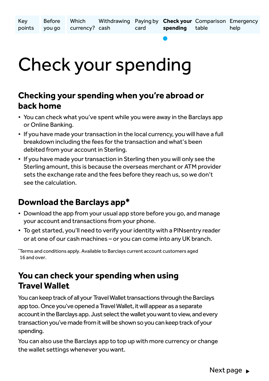## Check your spending

### **Checking your spending when you're abroad or back home**

- You can check what you've spent while you were away in the Barclays app or Online Banking.
- If you have made your transaction in the local currency, you will have a full breakdown including the fees for the transaction and what's been debited from your account in Sterling.
- If you have made your transaction in Sterling then you will only see the Sterling amount, this is because the overseas merchant or ATM provider sets the exchange rate and the fees before they reach us, so we don't see the calculation.

### **Download the Barclays app\***

- Download the app from your usual app store before you go, and manage your account and transactions from your phone.
- To get started, you'll need to verify your identity with a PINsentry reader or at one of our cash machines – or you can come into any UK branch.

\* Terms and conditions apply. Available to Barclays current account customers aged 16 and over.

### **You can check your spending when using Travel Wallet**

You can keep track of all your Travel Wallet transactions through the Barclays app too. Once you've opened a Travel Wallet, it will appear as a separate account in the Barclays app. Just select the wallet you want to view, and every transaction you've made from it will be shown so you can keep track of your spending.

You can also use the Barclays app to top up with more currency or change the wallet settings whenever you want.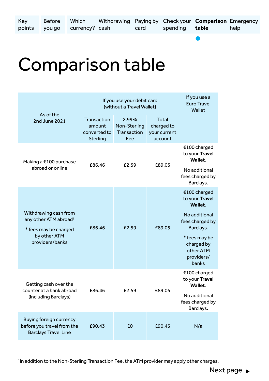Key

help

### Comparison table

| As of the                                                                                                              | If you use your debit card<br>(without a Travel Wallet)  | If you use a<br><b>Euro Travel</b><br>Wallet |                                                |                                                                |
|------------------------------------------------------------------------------------------------------------------------|----------------------------------------------------------|----------------------------------------------|------------------------------------------------|----------------------------------------------------------------|
| 2nd June 2021                                                                                                          | <b>Transaction</b><br>amount<br>converted to<br>Sterling | 2.99%<br>Non-Sterling<br>Transaction<br>Fee  | Total<br>charged to<br>your current<br>account |                                                                |
| Making a €100 purchase<br>abroad or online                                                                             | £86.46                                                   | £2.59                                        | £89.05                                         | €100 charged<br>to your Travel<br>Wallet.                      |
|                                                                                                                        |                                                          |                                              |                                                | No additional<br>fees charged by<br>Barclays.                  |
|                                                                                                                        | £86.46                                                   |                                              | £89.05                                         | €100 charged<br>to your Travel<br>Wallet.                      |
| Withdrawing cash from<br>any other ATM abroad <sup>1</sup><br>* fees may be charged<br>by other ATM<br>providers/banks |                                                          | £2.59                                        |                                                | No additional<br>fees charged by<br>Barclays.<br>* fees may be |
|                                                                                                                        |                                                          |                                              |                                                | charged by<br>other ATM<br>providers/<br>banks                 |
| Getting cash over the<br>counter at a bank abroad                                                                      | £86.46                                                   | £2.59                                        | £89.05                                         | €100 charged<br>to your Travel<br>Wallet.                      |
| (including Barclays)                                                                                                   |                                                          |                                              |                                                | No additional<br>fees charged by<br>Barclays.                  |
| Buying foreign currency<br>before you travel from the<br><b>Barclays Travel Line</b>                                   | £90.43                                                   | £0                                           | £90.43                                         | N/a                                                            |

<sup>1</sup> In addition to the Non-Sterling Transaction Fee, the ATM provider may apply other charges.